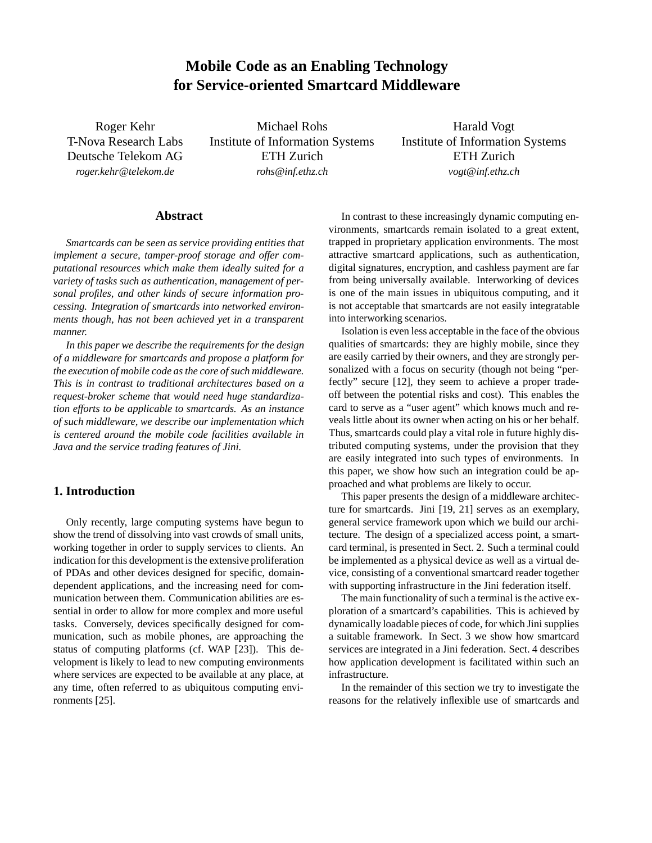# **Mobile Code as an Enabling Technology for Service-oriented Smartcard Middleware**

Roger Kehr T-Nova Research Labs Deutsche Telekom AG *roger.kehr@telekom.de*

Michael Rohs Institute of Information Systems ETH Zurich *rohs@inf.ethz.ch*

Harald Vogt Institute of Information Systems ETH Zurich *vogt@inf.ethz.ch*

# **Abstract**

*Smartcards can be seen as service providing entities that implement a secure, tamper-proof storage and offer computational resources which make them ideally suited for a variety of tasks such as authentication, management of personal profiles, and other kinds of secure information processing. Integration of smartcards into networked environments though, has not been achieved yet in a transparent manner.*

*In this paper we describe the requirements for the design of a middleware for smartcards and propose a platform for the execution of mobile code as the core of such middleware. This is in contrast to traditional architectures based on a request-broker scheme that would need huge standardization efforts to be applicable to smartcards. As an instance of such middleware, we describe our implementation which is centered around the mobile code facilities available in Java and the service trading features of Jini.*

# **1. Introduction**

Only recently, large computing systems have begun to show the trend of dissolving into vast crowds of small units, working together in order to supply services to clients. An indication for this development is the extensive proliferation of PDAs and other devices designed for specific, domaindependent applications, and the increasing need for communication between them. Communication abilities are essential in order to allow for more complex and more useful tasks. Conversely, devices specifically designed for communication, such as mobile phones, are approaching the status of computing platforms (cf. WAP [23]). This development is likely to lead to new computing environments where services are expected to be available at any place, at any time, often referred to as ubiquitous computing environments [25].

In contrast to these increasingly dynamic computing environments, smartcards remain isolated to a great extent, trapped in proprietary application environments. The most attractive smartcard applications, such as authentication, digital signatures, encryption, and cashless payment are far from being universally available. Interworking of devices is one of the main issues in ubiquitous computing, and it is not acceptable that smartcards are not easily integratable into interworking scenarios.

Isolation is even less acceptable in the face of the obvious qualities of smartcards: they are highly mobile, since they are easily carried by their owners, and they are strongly personalized with a focus on security (though not being "perfectly" secure [12], they seem to achieve a proper tradeoff between the potential risks and cost). This enables the card to serve as a "user agent" which knows much and reveals little about its owner when acting on his or her behalf. Thus, smartcards could play a vital role in future highly distributed computing systems, under the provision that they are easily integrated into such types of environments. In this paper, we show how such an integration could be approached and what problems are likely to occur.

This paper presents the design of a middleware architecture for smartcards. Jini [19, 21] serves as an exemplary, general service framework upon which we build our architecture. The design of a specialized access point, a smartcard terminal, is presented in Sect. 2. Such a terminal could be implemented as a physical device as well as a virtual device, consisting of a conventional smartcard reader together with supporting infrastructure in the Jini federation itself.

The main functionality of such a terminal is the active exploration of a smartcard's capabilities. This is achieved by dynamically loadable pieces of code, for which Jini supplies a suitable framework. In Sect. 3 we show how smartcard services are integrated in a Jini federation. Sect. 4 describes how application development is facilitated within such an infrastructure.

In the remainder of this section we try to investigate the reasons for the relatively inflexible use of smartcards and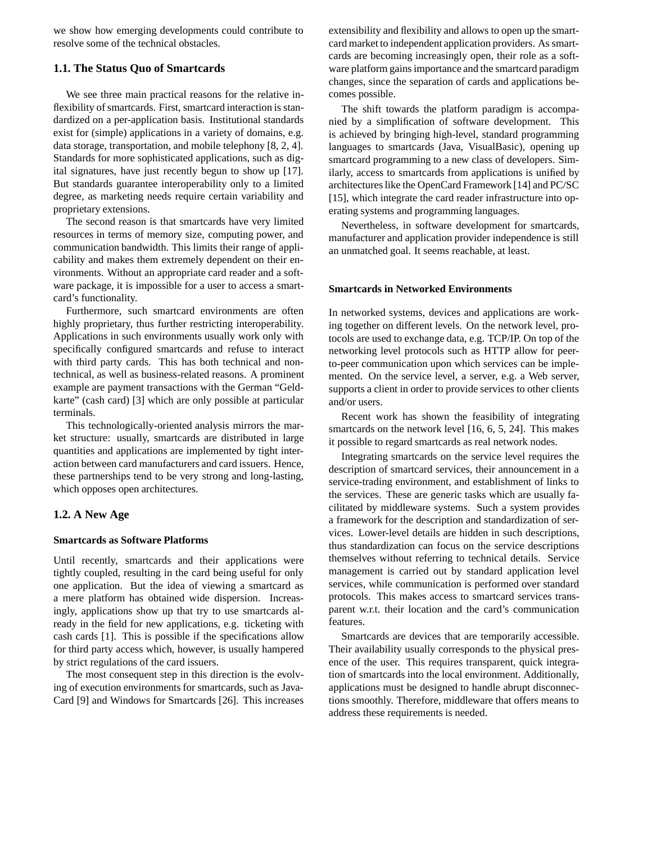we show how emerging developments could contribute to resolve some of the technical obstacles.

# **1.1. The Status Quo of Smartcards**

We see three main practical reasons for the relative inflexibility of smartcards. First, smartcard interaction is standardized on a per-application basis. Institutional standards exist for (simple) applications in a variety of domains, e.g. data storage, transportation, and mobile telephony [8, 2, 4]. Standards for more sophisticated applications, such as digital signatures, have just recently begun to show up [17]. But standards guarantee interoperability only to a limited degree, as marketing needs require certain variability and proprietary extensions.

The second reason is that smartcards have very limited resources in terms of memory size, computing power, and communication bandwidth. This limits their range of applicability and makes them extremely dependent on their environments. Without an appropriate card reader and a software package, it is impossible for a user to access a smartcard's functionality.

Furthermore, such smartcard environments are often highly proprietary, thus further restricting interoperability. Applications in such environments usually work only with specifically configured smartcards and refuse to interact with third party cards. This has both technical and nontechnical, as well as business-related reasons. A prominent example are payment transactions with the German "Geldkarte" (cash card) [3] which are only possible at particular terminals.

This technologically-oriented analysis mirrors the market structure: usually, smartcards are distributed in large quantities and applications are implemented by tight interaction between card manufacturers and card issuers. Hence, these partnerships tend to be very strong and long-lasting, which opposes open architectures.

# **1.2. A New Age**

#### **Smartcards as Software Platforms**

Until recently, smartcards and their applications were tightly coupled, resulting in the card being useful for only one application. But the idea of viewing a smartcard as a mere platform has obtained wide dispersion. Increasingly, applications show up that try to use smartcards already in the field for new applications, e.g. ticketing with cash cards [1]. This is possible if the specifications allow for third party access which, however, is usually hampered by strict regulations of the card issuers.

The most consequent step in this direction is the evolving of execution environments for smartcards, such as Java-Card [9] and Windows for Smartcards [26]. This increases extensibility and flexibility and allows to open up the smartcard market to independent application providers. As smartcards are becoming increasingly open, their role as a software platform gains importance and the smartcard paradigm changes, since the separation of cards and applications becomes possible.

The shift towards the platform paradigm is accompanied by a simplification of software development. This is achieved by bringing high-level, standard programming languages to smartcards (Java, VisualBasic), opening up smartcard programming to a new class of developers. Similarly, access to smartcards from applications is unified by architectures like the OpenCard Framework [14] and PC/SC [15], which integrate the card reader infrastructure into operating systems and programming languages.

Nevertheless, in software development for smartcards, manufacturer and application provider independence is still an unmatched goal. It seems reachable, at least.

#### **Smartcards in Networked Environments**

In networked systems, devices and applications are working together on different levels. On the network level, protocols are used to exchange data, e.g. TCP/IP. On top of the networking level protocols such as HTTP allow for peerto-peer communication upon which services can be implemented. On the service level, a server, e.g. a Web server, supports a client in order to provide services to other clients and/or users.

Recent work has shown the feasibility of integrating smartcards on the network level [16, 6, 5, 24]. This makes it possible to regard smartcards as real network nodes.

Integrating smartcards on the service level requires the description of smartcard services, their announcement in a service-trading environment, and establishment of links to the services. These are generic tasks which are usually facilitated by middleware systems. Such a system provides a framework for the description and standardization of services. Lower-level details are hidden in such descriptions, thus standardization can focus on the service descriptions themselves without referring to technical details. Service management is carried out by standard application level services, while communication is performed over standard protocols. This makes access to smartcard services transparent w.r.t. their location and the card's communication features.

Smartcards are devices that are temporarily accessible. Their availability usually corresponds to the physical presence of the user. This requires transparent, quick integration of smartcards into the local environment. Additionally, applications must be designed to handle abrupt disconnections smoothly. Therefore, middleware that offers means to address these requirements is needed.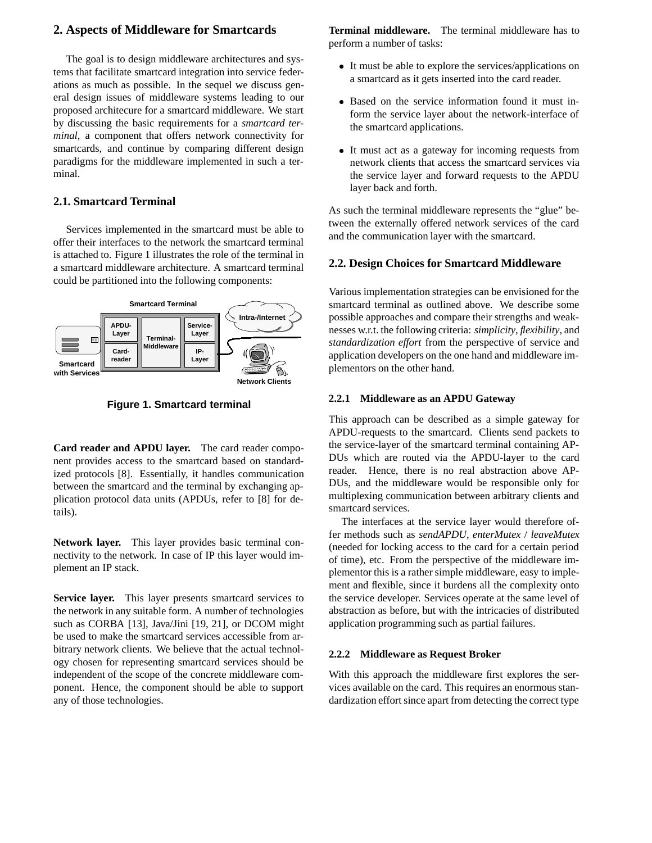# **2. Aspects of Middleware for Smartcards**

The goal is to design middleware architectures and systems that facilitate smartcard integration into service federations as much as possible. In the sequel we discuss general design issues of middleware systems leading to our proposed architecure for a smartcard middleware. We start by discussing the basic requirements for a *smartcard terminal*, a component that offers network connectivity for smartcards, and continue by comparing different design paradigms for the middleware implemented in such a terminal.

# **2.1. Smartcard Terminal**

Services implemented in the smartcard must be able to offer their interfaces to the network the smartcard terminal is attached to. Figure 1 illustrates the role of the terminal in a smartcard middleware architecture. A smartcard terminal could be partitioned into the following components:



**Figure 1. Smartcard terminal**

**Card reader and APDU layer.** The card reader component provides access to the smartcard based on standardized protocols [8]. Essentially, it handles communication between the smartcard and the terminal by exchanging application protocol data units (APDUs, refer to [8] for details).

**Network layer.** This layer provides basic terminal connectivity to the network. In case of IP this layer would implement an IP stack.

**Service layer.** This layer presents smartcard services to the network in any suitable form. A number of technologies such as CORBA [13], Java/Jini [19, 21], or DCOM might be used to make the smartcard services accessible from arbitrary network clients. We believe that the actual technology chosen for representing smartcard services should be independent of the scope of the concrete middleware component. Hence, the component should be able to support any of those technologies.

**Terminal middleware.** The terminal middleware has to perform a number of tasks:

- It must be able to explore the services/applications on a smartcard as it gets inserted into the card reader.
- Based on the service information found it must inform the service layer about the network-interface of the smartcard applications.
- It must act as a gateway for incoming requests from network clients that access the smartcard services via the service layer and forward requests to the APDU layer back and forth.

As such the terminal middleware represents the "glue" between the externally offered network services of the card and the communication layer with the smartcard.

# **2.2. Design Choices for Smartcard Middleware**

Various implementation strategies can be envisioned for the smartcard terminal as outlined above. We describe some possible approaches and compare their strengths and weaknesses w.r.t. the following criteria: *simplicity*, *flexibility*, and *standardization effort* from the perspective of service and application developers on the one hand and middleware implementors on the other hand.

#### **2.2.1 Middleware as an APDU Gateway**

This approach can be described as a simple gateway for APDU-requests to the smartcard. Clients send packets to the service-layer of the smartcard terminal containing AP-DUs which are routed via the APDU-layer to the card reader. Hence, there is no real abstraction above AP-DUs, and the middleware would be responsible only for multiplexing communication between arbitrary clients and smartcard services.

The interfaces at the service layer would therefore offer methods such as *sendAPDU*, *enterMutex* / *leaveMutex* (needed for locking access to the card for a certain period of time), etc. From the perspective of the middleware implementor this is a rather simple middleware, easy to implement and flexible, since it burdens all the complexity onto the service developer. Services operate at the same level of abstraction as before, but with the intricacies of distributed application programming such as partial failures.

#### **2.2.2 Middleware as Request Broker**

With this approach the middleware first explores the services available on the card. This requires an enormous standardization effort since apart from detecting the correct type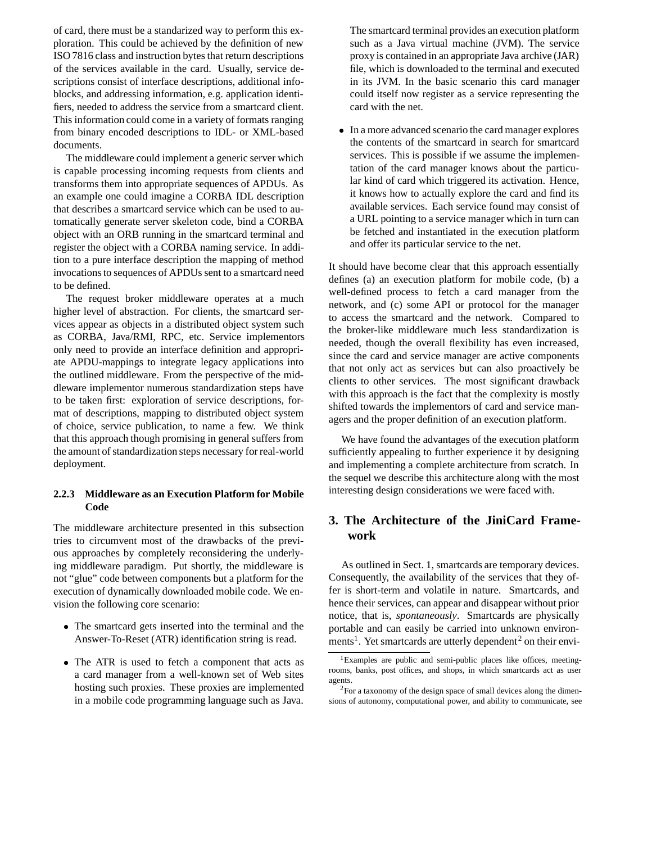of card, there must be a standarized way to perform this exploration. This could be achieved by the definition of new ISO 7816 class and instruction bytes that return descriptions of the services available in the card. Usually, service descriptions consist of interface descriptions, additional infoblocks, and addressing information, e.g. application identifiers, needed to address the service from a smartcard client. This information could come in a variety of formats ranging from binary encoded descriptions to IDL- or XML-based documents.

The middleware could implement a generic server which is capable processing incoming requests from clients and transforms them into appropriate sequences of APDUs. As an example one could imagine a CORBA IDL description that describes a smartcard service which can be used to automatically generate server skeleton code, bind a CORBA object with an ORB running in the smartcard terminal and register the object with a CORBA naming service. In addition to a pure interface description the mapping of method invocations to sequences of APDUs sent to a smartcard need to be defined.

The request broker middleware operates at a much higher level of abstraction. For clients, the smartcard services appear as objects in a distributed object system such as CORBA, Java/RMI, RPC, etc. Service implementors only need to provide an interface definition and appropriate APDU-mappings to integrate legacy applications into the outlined middleware. From the perspective of the middleware implementor numerous standardization steps have to be taken first: exploration of service descriptions, format of descriptions, mapping to distributed object system of choice, service publication, to name a few. We think that this approach though promising in general suffers from the amount of standardization steps necessary for real-world deployment.

# **2.2.3 Middleware as an Execution Platform for Mobile Code**

The middleware architecture presented in this subsection tries to circumvent most of the drawbacks of the previous approaches by completely reconsidering the underlying middleware paradigm. Put shortly, the middleware is not "glue" code between components but a platform for the execution of dynamically downloaded mobile code. We envision the following core scenario:

- The smartcard gets inserted into the terminal and the Answer-To-Reset (ATR) identification string is read.
- The ATR is used to fetch a component that acts as a card manager from a well-known set of Web sites hosting such proxies. These proxies are implemented in a mobile code programming language such as Java.

The smartcard terminal provides an execution platform such as a Java virtual machine (JVM). The service proxy is contained in an appropriate Java archive (JAR) file, which is downloaded to the terminal and executed in its JVM. In the basic scenario this card manager could itself now register as a service representing the card with the net.

 In a more advanced scenario the card manager explores the contents of the smartcard in search for smartcard services. This is possible if we assume the implementation of the card manager knows about the particular kind of card which triggered its activation. Hence, it knows how to actually explore the card and find its available services. Each service found may consist of a URL pointing to a service manager which in turn can be fetched and instantiated in the execution platform and offer its particular service to the net.

It should have become clear that this approach essentially defines (a) an execution platform for mobile code, (b) a well-defined process to fetch a card manager from the network, and (c) some API or protocol for the manager to access the smartcard and the network. Compared to the broker-like middleware much less standardization is needed, though the overall flexibility has even increased, since the card and service manager are active components that not only act as services but can also proactively be clients to other services. The most significant drawback with this approach is the fact that the complexity is mostly shifted towards the implementors of card and service managers and the proper definition of an execution platform.

We have found the advantages of the execution platform sufficiently appealing to further experience it by designing and implementing a complete architecture from scratch. In the sequel we describe this architecture along with the most interesting design considerations we were faced with.

# **3. The Architecture of the JiniCard Framework**

As outlined in Sect. 1, smartcards are temporary devices. Consequently, the availability of the services that they offer is short-term and volatile in nature. Smartcards, and hence their services, can appear and disappear without prior notice, that is, *spontaneously*. Smartcards are physically portable and can easily be carried into unknown environments<sup>1</sup>. Yet smartcards are utterly dependent<sup>2</sup> on their envi-

<sup>1</sup>Examples are public and semi-public places like offices, meetingrooms, banks, post offices, and shops, in which smartcards act as user agents.

 $2$ For a taxonomy of the design space of small devices along the dimensions of autonomy, computational power, and ability to communicate, see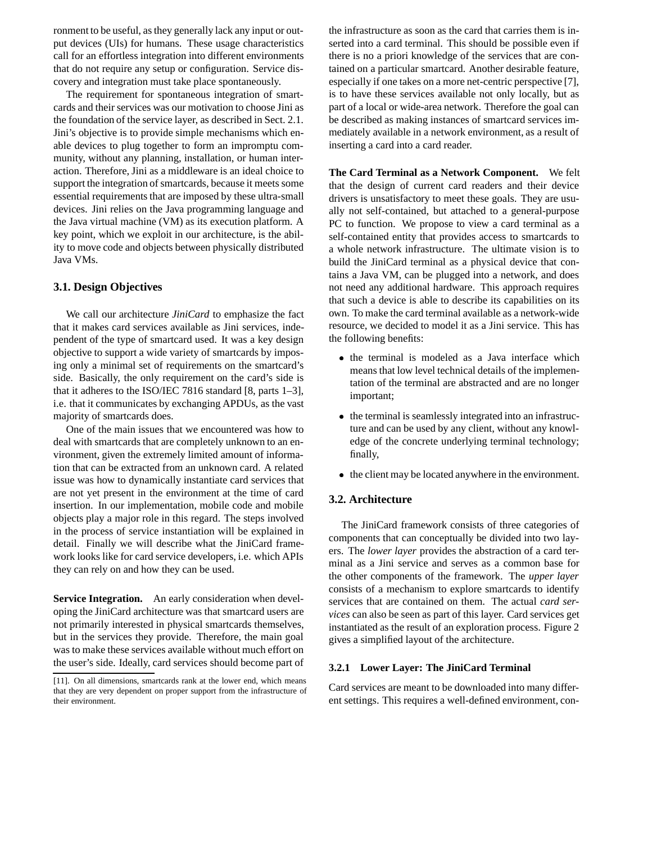ronment to be useful, as they generally lack any input or output devices (UIs) for humans. These usage characteristics call for an effortless integration into different environments that do not require any setup or configuration. Service discovery and integration must take place spontaneously.

The requirement for spontaneous integration of smartcards and their services was our motivation to choose Jini as the foundation of the service layer, as described in Sect. 2.1. Jini's objective is to provide simple mechanisms which enable devices to plug together to form an impromptu community, without any planning, installation, or human interaction. Therefore, Jini as a middleware is an ideal choice to support the integration of smartcards, because it meets some essential requirements that are imposed by these ultra-small devices. Jini relies on the Java programming language and the Java virtual machine (VM) as its execution platform. A key point, which we exploit in our architecture, is the ability to move code and objects between physically distributed Java VMs.

# **3.1. Design Objectives**

We call our architecture *JiniCard* to emphasize the fact that it makes card services available as Jini services, independent of the type of smartcard used. It was a key design objective to support a wide variety of smartcards by imposing only a minimal set of requirements on the smartcard's side. Basically, the only requirement on the card's side is that it adheres to the ISO/IEC 7816 standard [8, parts 1–3], i.e. that it communicates by exchanging APDUs, as the vast majority of smartcards does.

One of the main issues that we encountered was how to deal with smartcards that are completely unknown to an environment, given the extremely limited amount of information that can be extracted from an unknown card. A related issue was how to dynamically instantiate card services that are not yet present in the environment at the time of card insertion. In our implementation, mobile code and mobile objects play a major role in this regard. The steps involved in the process of service instantiation will be explained in detail. Finally we will describe what the JiniCard framework looks like for card service developers, i.e. which APIs they can rely on and how they can be used.

**Service Integration.** An early consideration when developing the JiniCard architecture was that smartcard users are not primarily interested in physical smartcards themselves, but in the services they provide. Therefore, the main goal was to make these services available without much effort on the user's side. Ideally, card services should become part of the infrastructure as soon as the card that carries them is inserted into a card terminal. This should be possible even if there is no a priori knowledge of the services that are contained on a particular smartcard. Another desirable feature, especially if one takes on a more net-centric perspective [7], is to have these services available not only locally, but as part of a local or wide-area network. Therefore the goal can be described as making instances of smartcard services immediately available in a network environment, as a result of inserting a card into a card reader.

**The Card Terminal as a Network Component.** We felt that the design of current card readers and their device drivers is unsatisfactory to meet these goals. They are usually not self-contained, but attached to a general-purpose PC to function. We propose to view a card terminal as a self-contained entity that provides access to smartcards to a whole network infrastructure. The ultimate vision is to build the JiniCard terminal as a physical device that contains a Java VM, can be plugged into a network, and does not need any additional hardware. This approach requires that such a device is able to describe its capabilities on its own. To make the card terminal available as a network-wide resource, we decided to model it as a Jini service. This has the following benefits:

- the terminal is modeled as a Java interface which means that low level technical details of the implementation of the terminal are abstracted and are no longer important;
- the terminal is seamlessly integrated into an infrastructure and can be used by any client, without any knowledge of the concrete underlying terminal technology; finally,
- the client may be located anywhere in the environment.

### **3.2. Architecture**

The JiniCard framework consists of three categories of components that can conceptually be divided into two layers. The *lower layer* provides the abstraction of a card terminal as a Jini service and serves as a common base for the other components of the framework. The *upper layer* consists of a mechanism to explore smartcards to identify services that are contained on them. The actual *card services* can also be seen as part of this layer. Card services get instantiated as the result of an exploration process. Figure 2 gives a simplified layout of the architecture.

#### **3.2.1 Lower Layer: The JiniCard Terminal**

Card services are meant to be downloaded into many different settings. This requires a well-defined environment, con-

<sup>[11].</sup> On all dimensions, smartcards rank at the lower end, which means that they are very dependent on proper support from the infrastructure of their environment.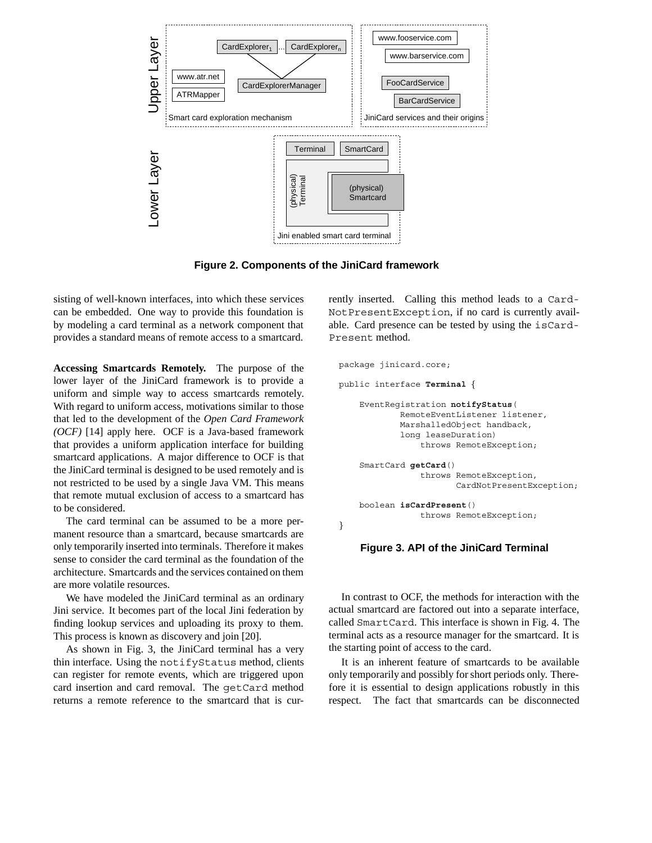

**Figure 2. Components of the JiniCard framework**

sisting of well-known interfaces, into which these services can be embedded. One way to provide this foundation is by modeling a card terminal as a network component that provides a standard means of remote access to a smartcard.

**Accessing Smartcards Remotely.** The purpose of the lower layer of the JiniCard framework is to provide a uniform and simple way to access smartcards remotely. With regard to uniform access, motivations similar to those that led to the development of the *Open Card Framework (OCF)* [14] apply here. OCF is a Java-based framework that provides a uniform application interface for building smartcard applications. A major difference to OCF is that the JiniCard terminal is designed to be used remotely and is not restricted to be used by a single Java VM. This means that remote mutual exclusion of access to a smartcard has to be considered.

The card terminal can be assumed to be a more permanent resource than a smartcard, because smartcards are only temporarily inserted into terminals. Therefore it makes sense to consider the card terminal as the foundation of the architecture. Smartcards and the services contained on them are more volatile resources.

We have modeled the JiniCard terminal as an ordinary Jini service. It becomes part of the local Jini federation by finding lookup services and uploading its proxy to them. This process is known as discovery and join [20].

As shown in Fig. 3, the JiniCard terminal has a very thin interface. Using the notifyStatus method, clients can register for remote events, which are triggered upon card insertion and card removal. The getCard method returns a remote reference to the smartcard that is currently inserted. Calling this method leads to a Card-NotPresentException, if no card is currently available. Card presence can be tested by using the isCard-Present method.

```
package jinicard.core;
public interface Terminal {
    EventRegistration notifyStatus(
            RemoteEventListener listener,
            MarshalledObject handback,
            long leaseDuration)
                throws RemoteException;
    SmartCard getCard()
                throws RemoteException,
                       CardNotPresentException;
    boolean isCardPresent()
                throws RemoteException;
\}
```
#### **Figure 3. API of the JiniCard Terminal**

In contrast to OCF, the methods for interaction with the actual smartcard are factored out into a separate interface, called SmartCard. This interface is shown in Fig. 4. The terminal acts as a resource manager for the smartcard. It is the starting point of access to the card.

It is an inherent feature of smartcards to be available only temporarily and possibly for short periods only. Therefore it is essential to design applications robustly in this respect. The fact that smartcards can be disconnected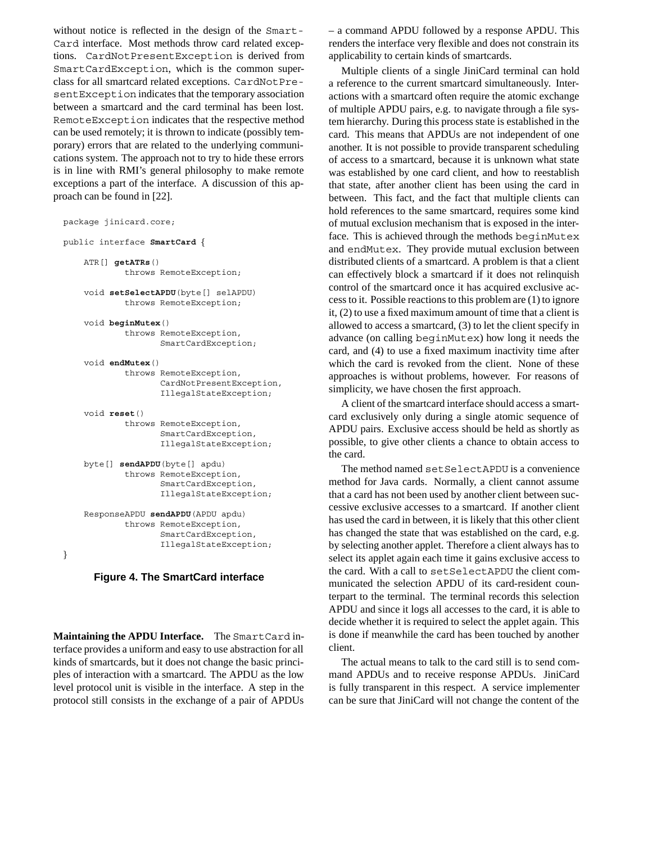without notice is reflected in the design of the Smart-Card interface. Most methods throw card related exceptions. CardNotPresentException is derived from SmartCardException, which is the common superclass for all smartcard related exceptions. CardNotPresentException indicates that the temporary association between a smartcard and the card terminal has been lost. RemoteException indicates that the respective method can be used remotely; it is thrown to indicate (possibly temporary) errors that are related to the underlying communications system. The approach not to try to hide these errors is in line with RMI's general philosophy to make remote exceptions a part of the interface. A discussion of this approach can be found in [22].

```
package jinicard.core;
public interface SmartCard f
    ATR[] getATRs()
            throws RemoteException;
    void setSelectAPDU(byte[] selAPDU)
            throws RemoteException;
    void beginMutex()
            throws RemoteException,
                   SmartCardException;
    void endMutex()
            throws RemoteException,
                   CardNotPresentException,
                   IllegalStateException;
    void reset()
            throws RemoteException,
                   SmartCardException,
                   IllegalStateException;
    byte[] sendAPDU(byte[] apdu)
            throws RemoteException,
                   SmartCardException,
                   IllegalStateException;
    ResponseAPDU sendAPDU(APDU apdu)
            throws RemoteException,
                   SmartCardException,
                   IllegalStateException;
\}
```
#### **Figure 4. The SmartCard interface**

**Maintaining the APDU Interface.** The SmartCard interface provides a uniform and easy to use abstraction for all kinds of smartcards, but it does not change the basic principles of interaction with a smartcard. The APDU as the low level protocol unit is visible in the interface. A step in the protocol still consists in the exchange of a pair of APDUs

– a command APDU followed by a response APDU. This renders the interface very flexible and does not constrain its applicability to certain kinds of smartcards.

Multiple clients of a single JiniCard terminal can hold a reference to the current smartcard simultaneously. Interactions with a smartcard often require the atomic exchange of multiple APDU pairs, e.g. to navigate through a file system hierarchy. During this process state is established in the card. This means that APDUs are not independent of one another. It is not possible to provide transparent scheduling of access to a smartcard, because it is unknown what state was established by one card client, and how to reestablish that state, after another client has been using the card in between. This fact, and the fact that multiple clients can hold references to the same smartcard, requires some kind of mutual exclusion mechanism that is exposed in the interface. This is achieved through the methods beginMutex and endMutex. They provide mutual exclusion between distributed clients of a smartcard. A problem is that a client can effectively block a smartcard if it does not relinquish control of the smartcard once it has acquired exclusive access to it. Possible reactions to this problem are (1) to ignore it, (2) to use a fixed maximum amount of time that a client is allowed to access a smartcard, (3) to let the client specify in advance (on calling beginMutex) how long it needs the card, and (4) to use a fixed maximum inactivity time after which the card is revoked from the client. None of these approaches is without problems, however. For reasons of simplicity, we have chosen the first approach.

A client of the smartcard interface should access a smartcard exclusively only during a single atomic sequence of APDU pairs. Exclusive access should be held as shortly as possible, to give other clients a chance to obtain access to the card.

The method named setSelectAPDU is a convenience method for Java cards. Normally, a client cannot assume that a card has not been used by another client between successive exclusive accesses to a smartcard. If another client has used the card in between, it is likely that this other client has changed the state that was established on the card, e.g. by selecting another applet. Therefore a client always has to select its applet again each time it gains exclusive access to the card. With a call to setSelectAPDU the client communicated the selection APDU of its card-resident counterpart to the terminal. The terminal records this selection APDU and since it logs all accesses to the card, it is able to decide whether it is required to select the applet again. This is done if meanwhile the card has been touched by another client.

The actual means to talk to the card still is to send command APDUs and to receive response APDUs. JiniCard is fully transparent in this respect. A service implementer can be sure that JiniCard will not change the content of the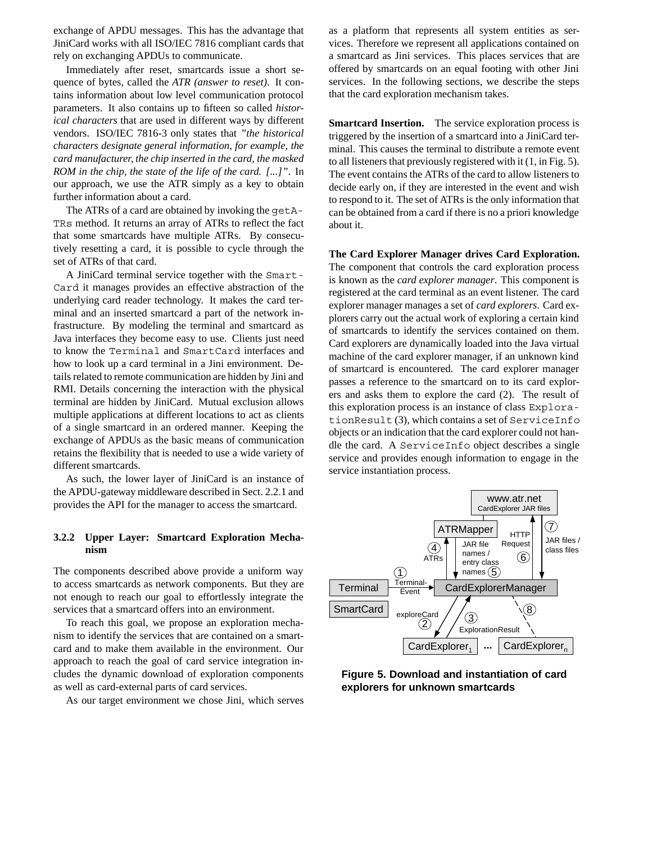exchange of APDU messages. This has the advantage that JiniCard works with all ISO/IEC 7816 compliant cards that rely on exchanging APDUs to communicate.

Immediately after reset, smartcards issue a short sequence of bytes, called the *ATR (answer to reset)*. It contains information about low level communication protocol parameters. It also contains up to fifteen so called *historical characters* that are used in different ways by different vendors. ISO/IEC 7816-3 only states that *"the historical characters designate general information, for example, the card manufacturer, the chip inserted in the card, the masked ROM in the chip, the state of the life of the card. [...]"*. In our approach, we use the ATR simply as a key to obtain further information about a card.

The ATRs of a card are obtained by invoking the getA-TRs method. It returns an array of ATRs to reflect the fact that some smartcards have multiple ATRs. By consecutively resetting a card, it is possible to cycle through the set of ATRs of that card.

A JiniCard terminal service together with the Smart-Card it manages provides an effective abstraction of the underlying card reader technology. It makes the card terminal and an inserted smartcard a part of the network infrastructure. By modeling the terminal and smartcard as Java interfaces they become easy to use. Clients just need to know the Terminal and SmartCard interfaces and how to look up a card terminal in a Jini environment. Details related to remote communication are hidden by Jini and RMI. Details concerning the interaction with the physical terminal are hidden by JiniCard. Mutual exclusion allows multiple applications at different locations to act as clients of a single smartcard in an ordered manner. Keeping the exchange of APDUs as the basic means of communication retains the flexibility that is needed to use a wide variety of different smartcards.

As such, the lower layer of JiniCard is an instance of the APDU-gateway middleware described in Sect. 2.2.1 and provides the API for the manager to access the smartcard.

# **3.2.2 Upper Layer: Smartcard Exploration Mechanism**

The components described above provide a uniform way to access smartcards as network components. But they are not enough to reach our goal to effortlessly integrate the services that a smartcard offers into an environment.

To reach this goal, we propose an exploration mechanism to identify the services that are contained on a smartcard and to make them available in the environment. Our approach to reach the goal of card service integration includes the dynamic download of exploration components as well as card-external parts of card services.

As our target environment we chose Jini, which serves

as a platform that represents all system entities as services. Therefore we represent all applications contained on a smartcard as Jini services. This places services that are offered by smartcards on an equal footing with other Jini services. In the following sections, we describe the steps that the card exploration mechanism takes.

**Smartcard Insertion.** The service exploration process is triggered by the insertion of a smartcard into a JiniCard terminal. This causes the terminal to distribute a remote event to all listeners that previously registered with it (1, in Fig. 5). The event contains the ATRs of the card to allow listeners to decide early on, if they are interested in the event and wish to respond to it. The set of ATRs is the only information that can be obtained from a card if there is no a priori knowledge about it.

**The Card Explorer Manager drives Card Exploration.** The component that controls the card exploration process is known as the *card explorer manager*. This component is registered at the card terminal as an event listener. The card explorer manager manages a set of *card explorers*. Card explorers carry out the actual work of exploring a certain kind of smartcards to identify the services contained on them. Card explorers are dynamically loaded into the Java virtual machine of the card explorer manager, if an unknown kind of smartcard is encountered. The card explorer manager passes a reference to the smartcard on to its card explorers and asks them to explore the card (2). The result of this exploration process is an instance of class ExplorationResult (3), which contains a set of ServiceInfo objects or an indication that the card explorer could not handle the card. A ServiceInfo object describes a single service and provides enough information to engage in the service instantiation process.



**Figure 5. Download and instantiation of card explorers for unknown smartcards**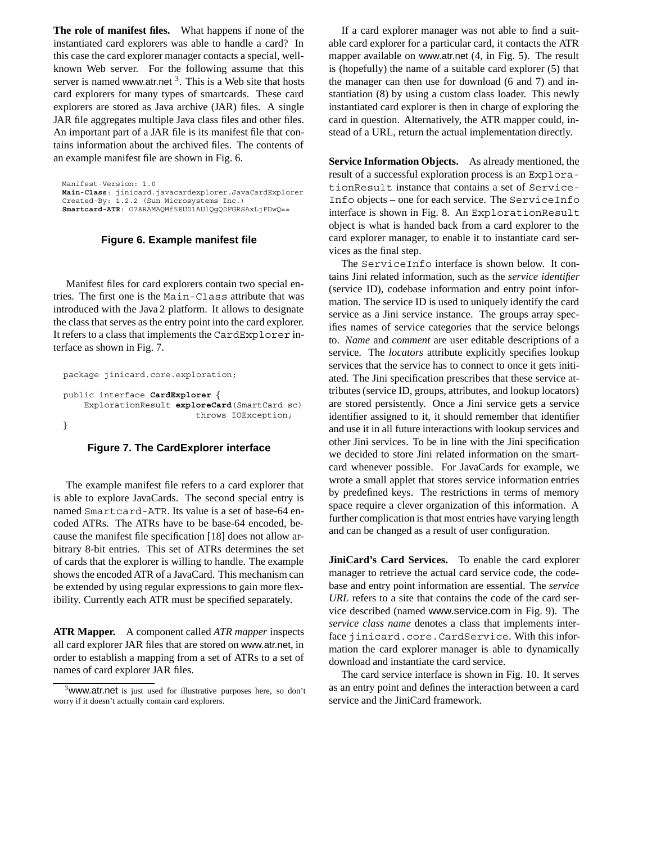**The role of manifest files.** What happens if none of the instantiated card explorers was able to handle a card? In this case the card explorer manager contacts a special, wellknown Web server. For the following assume that this server is named www.atr.net  $3$ . This is a Web site that hosts card explorers for many types of smartcards. These card explorers are stored as Java archive (JAR) files. A single JAR file aggregates multiple Java class files and other files. An important part of a JAR file is its manifest file that contains information about the archived files. The contents of an example manifest file are shown in Fig. 6.

Manifest-Version: 1.0 **Main-Class**: jinicard.javacardexplorer.JavaCardExplorer Created-By: 1.2.2 (Sun Microsystems Inc.) **Smartcard-ATR**: O78RAMAQMf5EU01AUlQgQ0FGRSAxLjFDwQ==

## **Figure 6. Example manifest file**

Manifest files for card explorers contain two special entries. The first one is the Main-Class attribute that was introduced with the Java 2 platform. It allows to designate the class that serves as the entry point into the card explorer. It refers to a class that implements the CardExplorer interface as shown in Fig. 7.

```
package jinicard.core.exploration;
public interface CardExplorer f
    ExplorationResult exploreCard(SmartCard sc)
                           throws IOException;
\big\}
```
### **Figure 7. The CardExplorer interface**

The example manifest file refers to a card explorer that is able to explore JavaCards. The second special entry is named Smartcard-ATR. Its value is a set of base-64 encoded ATRs. The ATRs have to be base-64 encoded, because the manifest file specification [18] does not allow arbitrary 8-bit entries. This set of ATRs determines the set of cards that the explorer is willing to handle. The example shows the encoded ATR of a JavaCard. This mechanism can be extended by using regular expressions to gain more flexibility. Currently each ATR must be specified separately.

**ATR Mapper.** A component called *ATR mapper* inspects all card explorer JAR files that are stored on www.atr.net, in order to establish a mapping from a set of ATRs to a set of names of card explorer JAR files.

If a card explorer manager was not able to find a suitable card explorer for a particular card, it contacts the ATR mapper available on www.atr.net (4, in Fig. 5). The result is (hopefully) the name of a suitable card explorer (5) that the manager can then use for download (6 and 7) and instantiation (8) by using a custom class loader. This newly instantiated card explorer is then in charge of exploring the card in question. Alternatively, the ATR mapper could, instead of a URL, return the actual implementation directly.

**Service Information Objects.** As already mentioned, the result of a successful exploration process is an ExplorationResult instance that contains a set of Service-Info objects – one for each service. The ServiceInfo interface is shown in Fig. 8. An ExplorationResult object is what is handed back from a card explorer to the card explorer manager, to enable it to instantiate card services as the final step.

The ServiceInfo interface is shown below. It contains Jini related information, such as the *service identifier* (service ID), codebase information and entry point information. The service ID is used to uniquely identify the card service as a Jini service instance. The groups array specifies names of service categories that the service belongs to. *Name* and *comment* are user editable descriptions of a service. The *locators* attribute explicitly specifies lookup services that the service has to connect to once it gets initiated. The Jini specification prescribes that these service attributes (service ID, groups, attributes, and lookup locators) are stored persistently. Once a Jini service gets a service identifier assigned to it, it should remember that identifier and use it in all future interactions with lookup services and other Jini services. To be in line with the Jini specification we decided to store Jini related information on the smartcard whenever possible. For JavaCards for example, we wrote a small applet that stores service information entries by predefined keys. The restrictions in terms of memory space require a clever organization of this information. A further complication is that most entries have varying length and can be changed as a result of user configuration.

**JiniCard's Card Services.** To enable the card explorer manager to retrieve the actual card service code, the codebase and entry point information are essential. The *service URL* refers to a site that contains the code of the card service described (named www.service.com in Fig. 9). The *service class name* denotes a class that implements interface jinicard.core.CardService. With this information the card explorer manager is able to dynamically download and instantiate the card service.

The card service interface is shown in Fig. 10. It serves as an entry point and defines the interaction between a card service and the JiniCard framework.

 $3$ www.atr.net is just used for illustrative purposes here, so don't worry if it doesn't actually contain card explorers.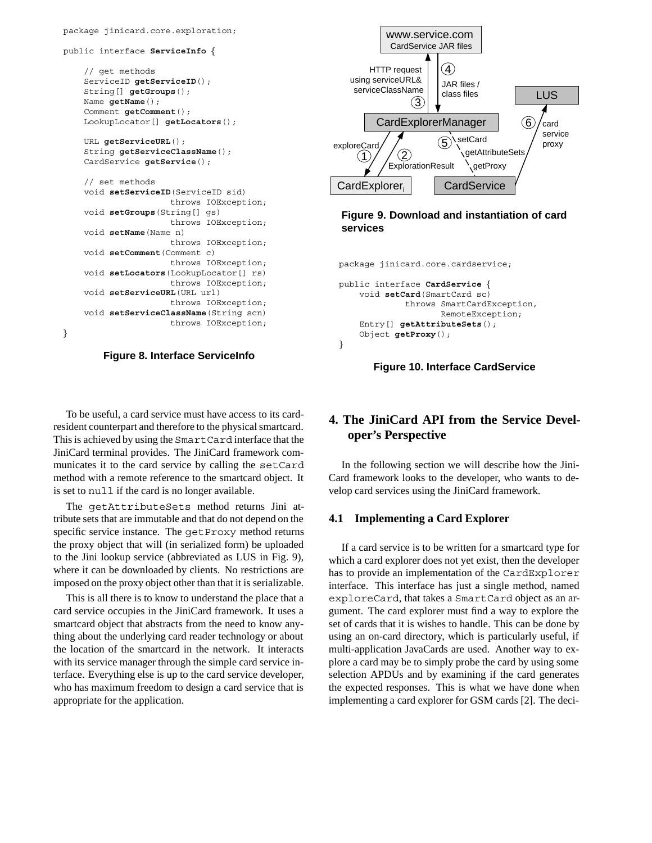```
package jinicard.core.exploration;
public interface ServiceInfo f
    // get methods
    ServiceID getServiceID();
   String[] getGroups();
   Name getName();
    Comment getComment();
    LookupLocator[] getLocators();
    URL getServiceURL();
    String getServiceClassName();
    CardService getService();
    // set methods
    void setServiceID(ServiceID sid)
                     throws IOException;
    void setGroups(String[] gs)
                     throws IOException;
    void setName(Name n)
                     throws IOException;
    void setComment(Comment c)
                     throws IOException;
    void setLocators(LookupLocator[] rs)
                     throws IOException;
    void setServiceURL(URL url)
                     throws IOException;
    void setServiceClassName(String scn)
                     throws IOException;
```
**Figure 8. Interface ServiceInfo**

 $\}$ 

To be useful, a card service must have access to its cardresident counterpart and therefore to the physical smartcard. This is achieved by using the SmartCard interface that the JiniCard terminal provides. The JiniCard framework communicates it to the card service by calling the setCard method with a remote reference to the smartcard object. It is set to null if the card is no longer available.

The getAttributeSets method returns Jini attribute sets that are immutable and that do not depend on the specific service instance. The getProxy method returns the proxy object that will (in serialized form) be uploaded to the Jini lookup service (abbreviated as LUS in Fig. 9), where it can be downloaded by clients. No restrictions are imposed on the proxy object other than that it is serializable.

This is all there is to know to understand the place that a card service occupies in the JiniCard framework. It uses a smartcard object that abstracts from the need to know anything about the underlying card reader technology or about the location of the smartcard in the network. It interacts with its service manager through the simple card service interface. Everything else is up to the card service developer, who has maximum freedom to design a card service that is appropriate for the application.



# **Figure 9. Download and instantiation of card services**

```
package jinicard.core.cardservice;
```

```
public interface CardService {
    void setCard(SmartCard sc)
             throws SmartCardException,
                    RemoteException;
    Entry[] getAttributeSets();
    Object getProxy();
\}
```


# **4. The JiniCard API from the Service Developer's Perspective**

In the following section we will describe how the Jini-Card framework looks to the developer, who wants to develop card services using the JiniCard framework.

# **4.1 Implementing a Card Explorer**

If a card service is to be written for a smartcard type for which a card explorer does not yet exist, then the developer has to provide an implementation of the CardExplorer interface. This interface has just a single method, named exploreCard, that takes a SmartCard object as an argument. The card explorer must find a way to explore the set of cards that it is wishes to handle. This can be done by using an on-card directory, which is particularly useful, if multi-application JavaCards are used. Another way to explore a card may be to simply probe the card by using some selection APDUs and by examining if the card generates the expected responses. This is what we have done when implementing a card explorer for GSM cards [2]. The deci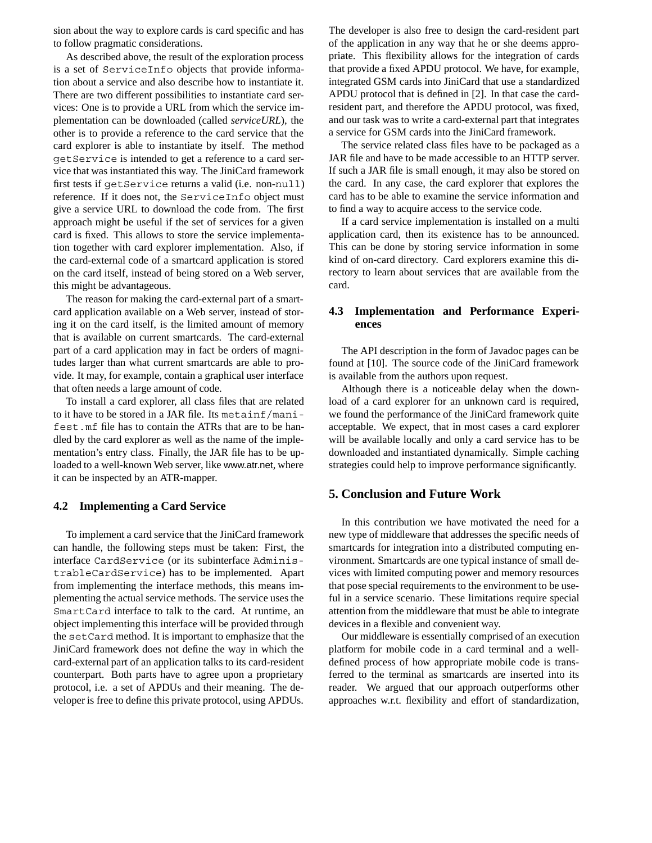sion about the way to explore cards is card specific and has to follow pragmatic considerations.

As described above, the result of the exploration process is a set of ServiceInfo objects that provide information about a service and also describe how to instantiate it. There are two different possibilities to instantiate card services: One is to provide a URL from which the service implementation can be downloaded (called *serviceURL*), the other is to provide a reference to the card service that the card explorer is able to instantiate by itself. The method getService is intended to get a reference to a card service that was instantiated this way. The JiniCard framework first tests if getService returns a valid (i.e. non-null) reference. If it does not, the ServiceInfo object must give a service URL to download the code from. The first approach might be useful if the set of services for a given card is fixed. This allows to store the service implementation together with card explorer implementation. Also, if the card-external code of a smartcard application is stored on the card itself, instead of being stored on a Web server, this might be advantageous.

The reason for making the card-external part of a smartcard application available on a Web server, instead of storing it on the card itself, is the limited amount of memory that is available on current smartcards. The card-external part of a card application may in fact be orders of magnitudes larger than what current smartcards are able to provide. It may, for example, contain a graphical user interface that often needs a large amount of code.

To install a card explorer, all class files that are related to it have to be stored in a JAR file. Its metainf/manifest.mf file has to contain the ATRs that are to be handled by the card explorer as well as the name of the implementation's entry class. Finally, the JAR file has to be uploaded to a well-known Web server, like www.atr.net, where it can be inspected by an ATR-mapper.

#### **4.2 Implementing a Card Service**

To implement a card service that the JiniCard framework can handle, the following steps must be taken: First, the interface CardService (or its subinterface AdministrableCardService) has to be implemented. Apart from implementing the interface methods, this means implementing the actual service methods. The service uses the SmartCard interface to talk to the card. At runtime, an object implementing this interface will be provided through the setCard method. It is important to emphasize that the JiniCard framework does not define the way in which the card-external part of an application talks to its card-resident counterpart. Both parts have to agree upon a proprietary protocol, i.e. a set of APDUs and their meaning. The developer is free to define this private protocol, using APDUs.

The developer is also free to design the card-resident part of the application in any way that he or she deems appropriate. This flexibility allows for the integration of cards that provide a fixed APDU protocol. We have, for example, integrated GSM cards into JiniCard that use a standardized APDU protocol that is defined in [2]. In that case the cardresident part, and therefore the APDU protocol, was fixed, and our task was to write a card-external part that integrates a service for GSM cards into the JiniCard framework.

The service related class files have to be packaged as a JAR file and have to be made accessible to an HTTP server. If such a JAR file is small enough, it may also be stored on the card. In any case, the card explorer that explores the card has to be able to examine the service information and to find a way to acquire access to the service code.

If a card service implementation is installed on a multi application card, then its existence has to be announced. This can be done by storing service information in some kind of on-card directory. Card explorers examine this directory to learn about services that are available from the card.

## **4.3 Implementation and Performance Experiences**

The API description in the form of Javadoc pages can be found at [10]. The source code of the JiniCard framework is available from the authors upon request.

Although there is a noticeable delay when the download of a card explorer for an unknown card is required, we found the performance of the JiniCard framework quite acceptable. We expect, that in most cases a card explorer will be available locally and only a card service has to be downloaded and instantiated dynamically. Simple caching strategies could help to improve performance significantly.

# **5. Conclusion and Future Work**

In this contribution we have motivated the need for a new type of middleware that addresses the specific needs of smartcards for integration into a distributed computing environment. Smartcards are one typical instance of small devices with limited computing power and memory resources that pose special requirements to the environment to be useful in a service scenario. These limitations require special attention from the middleware that must be able to integrate devices in a flexible and convenient way.

Our middleware is essentially comprised of an execution platform for mobile code in a card terminal and a welldefined process of how appropriate mobile code is transferred to the terminal as smartcards are inserted into its reader. We argued that our approach outperforms other approaches w.r.t. flexibility and effort of standardization,